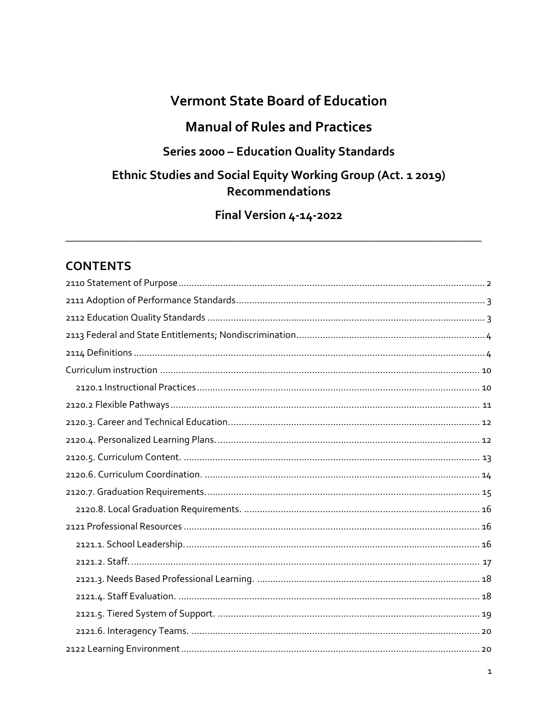# **Vermont State Board of Education**

# **Manual of Rules and Practices**

## Series 2000 - Education Quality Standards

## Ethnic Studies and Social Equity Working Group (Act. 1 2019) **Recommendations**

Final Version 4-14-2022

## **CONTENTS**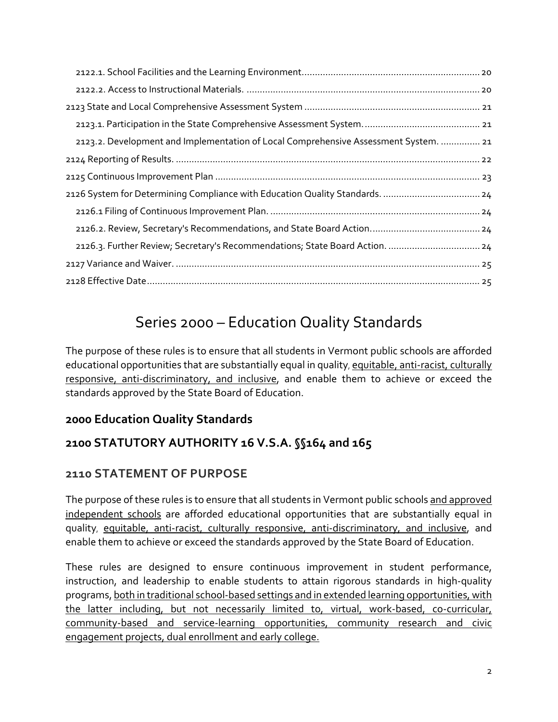| 2123.2. Development and Implementation of Local Comprehensive Assessment System.  21 |
|--------------------------------------------------------------------------------------|
|                                                                                      |
|                                                                                      |
| 2126 System for Determining Compliance with Education Quality Standards.  24         |
|                                                                                      |
|                                                                                      |
| 2126.3. Further Review; Secretary's Recommendations; State Board Action.  24         |
|                                                                                      |
|                                                                                      |

# Series 2000 – Education Quality Standards

The purpose of these rules is to ensure that all students in Vermont public schools are afforded educational opportunities that are substantially equal in quality, equitable, anti-racist, culturally responsive, anti-discriminatory, and inclusive, and enable them to achieve or exceed the standards approved by the State Board of Education.

### **2000 Education Quality Standards**

# **2100 STATUTORY AUTHORITY 16 V.S.A. §§164 and 165**

### <span id="page-1-0"></span>**2110 STATEMENT OF PURPOSE**

The purpose of these rules is to ensure that all students in Vermont public schools and approved independent schools are afforded educational opportunities that are substantially equal in quality, equitable, anti-racist, culturally responsive, anti-discriminatory, and inclusive, and enable them to achieve or exceed the standards approved by the State Board of Education.

These rules are designed to ensure continuous improvement in student performance, instruction, and leadership to enable students to attain rigorous standards in high-quality programs, both in traditional school-based settings and in extended learning opportunities, with the latter including, but not necessarily limited to, virtual, work-based, co-curricular, community-based and service-learning opportunities, community research and civic engagement projects, dual enrollment and early college.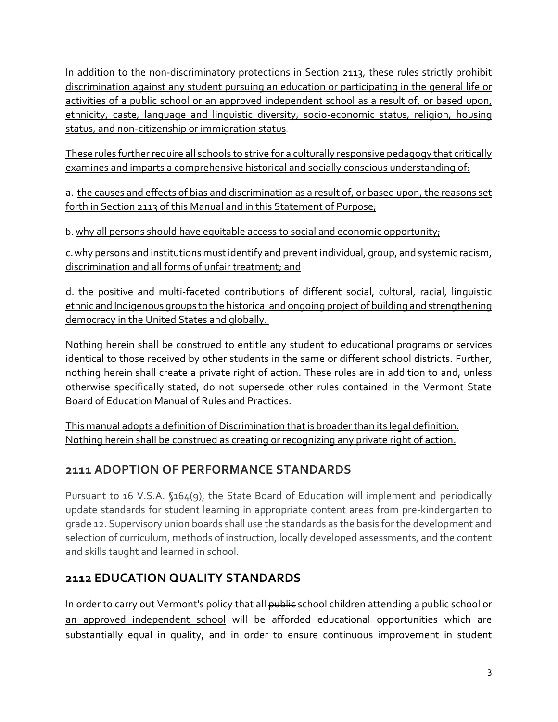In addition to the non-discriminatory protections in Section 2113, these rules strictly prohibit discrimination against any student pursuing an education or participating in the general life or activities of a public school or an approved independent school as a result of, or based upon, ethnicity, caste, language and linguistic diversity, socio-economic status, religion, housing status, and non-citizenship or immigration status.

These rules further require all schools to strive for a culturally responsive pedagogy that critically examines and imparts a comprehensive historical and socially conscious understanding of:

a. the causes and effects of bias and discrimination as a result of, or based upon, the reasons set forth in Section 2113 of this Manual and in this Statement of Purpose;

b. why all persons should have equitable access to social and economic opportunity;

c.why persons and institutions must identify and prevent individual, group, and systemic racism, discrimination and all forms of unfair treatment; and

d. the positive and multi-faceted contributions of different social, cultural, racial, linguistic ethnic and Indigenous groups to the historical and ongoing project of building and strengthening democracy in the United States and globally.

Nothing herein shall be construed to entitle any student to educational programs or services identical to those received by other students in the same or different school districts. Further, nothing herein shall create a private right of action. These rules are in addition to and, unless otherwise specifically stated, do not supersede other rules contained in the Vermont State Board of Education Manual of Rules and Practices.

This manual adopts a definition of Discrimination that is broader than its legal definition. Nothing herein shall be construed as creating or recognizing any private right of action.

# <span id="page-2-0"></span>**2111 ADOPTION OF PERFORMANCE STANDARDS**

Pursuant to 16 V.S.A. §164(9), the State Board of Education will implement and periodically update standards for student learning in appropriate content areas from pre-kindergarten to grade 12. Supervisory union boards shall use the standards as the basis for the development and selection of curriculum, methods of instruction, locally developed assessments, and the content and skills taught and learned in school.

# <span id="page-2-1"></span>**2112 EDUCATION QUALITY STANDARDS**

In order to carry out Vermont's policy that all **public** school children attending a public school or an approved independent school will be afforded educational opportunities which are substantially equal in quality, and in order to ensure continuous improvement in student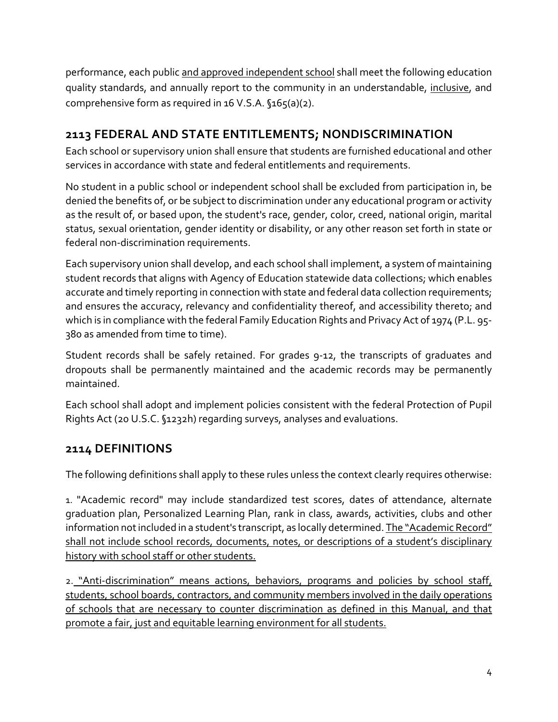performance, each public and approved independent school shall meet the following education quality standards, and annually report to the community in an understandable, *inclusive*, and comprehensive form as required in 16 V.S.A.  $$165(a)(2)$ .

# <span id="page-3-0"></span>**2113 FEDERAL AND STATE ENTITLEMENTS; NONDISCRIMINATION**

Each school or supervisory union shall ensure that students are furnished educational and other services in accordance with state and federal entitlements and requirements.

No student in a public school or independent school shall be excluded from participation in, be denied the benefits of, or be subject to discrimination under any educational program or activity as the result of, or based upon, the student's race, gender, color, creed, national origin, marital status, sexual orientation, gender identity or disability, or any other reason set forth in state or federal non-discrimination requirements.

Each supervisory union shall develop, and each school shall implement, a system of maintaining student records that aligns with Agency of Education statewide data collections; which enables accurate and timely reporting in connection with state and federal data collection requirements; and ensures the accuracy, relevancy and confidentiality thereof, and accessibility thereto; and which is in compliance with the federal Family Education Rights and Privacy Act of 1974 (P.L. 95- 380 as amended from time to time).

Student records shall be safely retained. For grades 9-12, the transcripts of graduates and dropouts shall be permanently maintained and the academic records may be permanently maintained.

Each school shall adopt and implement policies consistent with the federal Protection of Pupil Rights Act (20 U.S.C. §1232h) regarding surveys, analyses and evaluations.

### <span id="page-3-1"></span>**2114 DEFINITIONS**

The following definitions shall apply to these rules unless the context clearly requires otherwise:

1. "Academic record" may include standardized test scores, dates of attendance, alternate graduation plan, Personalized Learning Plan, rank in class, awards, activities, clubs and other information not included in a student's transcript, as locally determined. The "Academic Record" shall not include school records, documents, notes, or descriptions of a student's disciplinary history with school staff or other students.

2. "Anti-discrimination" means actions, behaviors, programs and policies by school staff, students, school boards, contractors, and community members involved in the daily operations of schools that are necessary to counter discrimination as defined in this Manual, and that promote a fair, just and equitable learning environment for all students.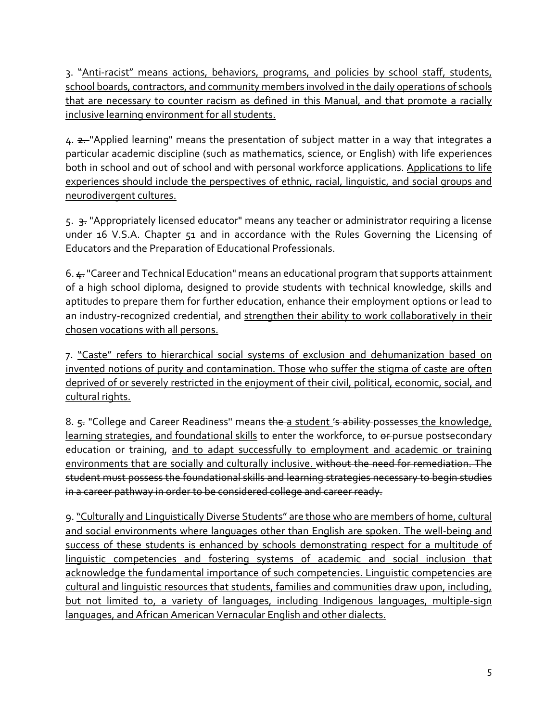3. "Anti-racist" means actions, behaviors, programs, and policies by school staff, students, school boards, contractors, and community members involved in the daily operations of schools that are necessary to counter racism as defined in this Manual, and that promote a racially inclusive learning environment for all students.

4. 2. Applied learning" means the presentation of subject matter in a way that integrates a particular academic discipline (such as mathematics, science, or English) with life experiences both in school and out of school and with personal workforce applications. Applications to life experiences should include the perspectives of ethnic, racial, linguistic, and social groups and neurodivergent cultures.

5. 3. "Appropriately licensed educator" means any teacher or administrator requiring a license under 16 V.S.A. Chapter 51 and in accordance with the Rules Governing the Licensing of Educators and the Preparation of Educational Professionals.

6.  $\text{L}$  "Career and Technical Education" means an educational program that supports attainment of a high school diploma, designed to provide students with technical knowledge, skills and aptitudes to prepare them for further education, enhance their employment options or lead to an industry-recognized credential, and strengthen their ability to work collaboratively in their chosen vocations with all persons.

7. "Caste" refers to hierarchical social systems of exclusion and dehumanization based on invented notions of purity and contamination. Those who suffer the stigma of caste are often deprived of or severely restricted in the enjoyment of their civil, political, economic, social, and cultural rights.

8. 5. "College and Career Readiness" means the a student 's ability possesses the knowledge, learning strategies, and foundational skills to enter the workforce, to  $\theta$ -pursue postsecondary education or training, and to adapt successfully to employment and academic or training environments that are socially and culturally inclusive. without the need for remediation. The student must possess the foundational skills and learning strategies necessary to begin studies in a career pathway in order to be considered college and career ready.

9."Culturally and Linguistically Diverse Students" are those who are members of home, cultural and social environments where languages other than English are spoken. The well-being and success of these students is enhanced by schools demonstrating respect for a multitude of linguistic competencies and fostering systems of academic and social inclusion that acknowledge the fundamental importance of such competencies. Linguistic competencies are cultural and linguistic resources that students, families and communities draw upon, including, but not limited to, a variety of languages, including Indigenous languages, multiple-sign languages, and African American Vernacular English and other dialects.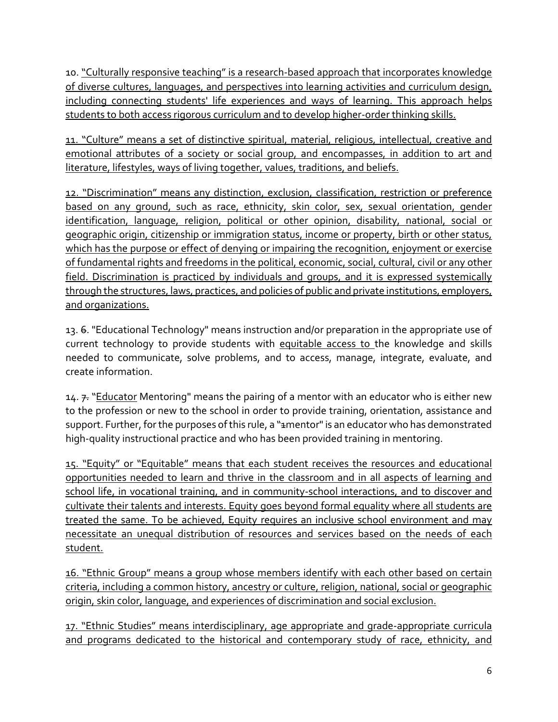10. "Culturally responsive teaching" is a research-based approach that incorporates knowledge of diverse cultures, languages, and perspectives into learning activities and curriculum design, including connecting students' life experiences and ways of learning. This approach helps students to both access rigorous curriculum and to develop higher-order thinking skills.

11. "Culture" means a set of distinctive spiritual, material, religious, intellectual, creative and emotional attributes of a society or social group, and encompasses, in addition to art and literature, lifestyles, ways of living together, values, traditions, and beliefs.

12. "Discrimination" means any distinction, exclusion, classification, restriction or preference based on any ground, such as race, ethnicity, skin color, sex, sexual orientation, gender identification, language, religion, political or other opinion, disability, national, social or geographic origin, citizenship or immigration status, income or property, birth or other status, which has the purpose or effect of denying or impairing the recognition, enjoyment or exercise of fundamental rights and freedoms in the political, economic, social, cultural, civil or any other field. Discrimination is practiced by individuals and groups, and it is expressed systemically through the structures, laws, practices, and policies of public and private institutions, employers, and organizations.

13. 6. "Educational Technology" means instruction and/or preparation in the appropriate use of current technology to provide students with equitable access to the knowledge and skills needed to communicate, solve problems, and to access, manage, integrate, evaluate, and create information.

14.  $\neq$  "Educator Mentoring" means the pairing of a mentor with an educator who is either new to the profession or new to the school in order to provide training, orientation, assistance and support. Further, for the purposes of this rule, a "#mentor" is an educator who has demonstrated high-quality instructional practice and who has been provided training in mentoring.

15. "Equity" or "Equitable" means that each student receives the resources and educational opportunities needed to learn and thrive in the classroom and in all aspects of learning and school life, in vocational training, and in community-school interactions, and to discover and cultivate their talents and interests. Equity goes beyond formal equality where all students are treated the same. To be achieved, Equity requires an inclusive school environment and may necessitate an unequal distribution of resources and services based on the needs of each student.

16. "Ethnic Group" means a group whose members identify with each other based on certain criteria, including a common history, ancestry or culture, religion, national, social or geographic origin, skin color, language, and experiences of discrimination and social exclusion.

17. "Ethnic Studies" means interdisciplinary, age appropriate and grade-appropriate curricula and programs dedicated to the historical and contemporary study of race, ethnicity, and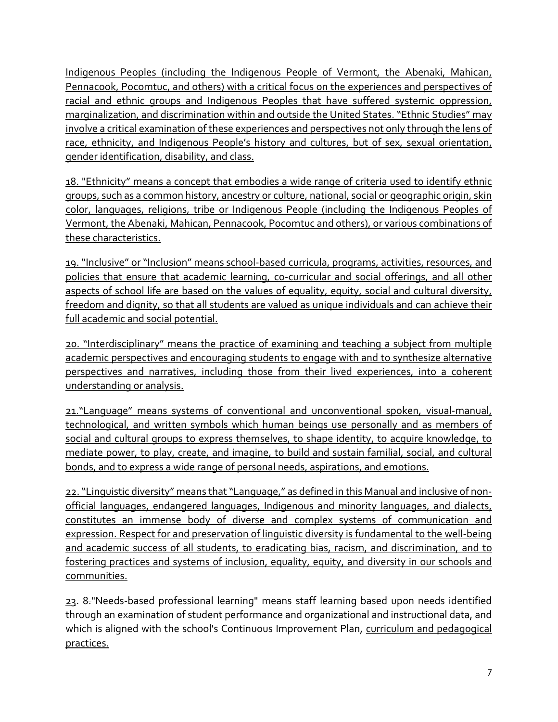Indigenous Peoples (including the Indigenous People of Vermont, the Abenaki, Mahican, Pennacook, Pocomtuc, and others) with a critical focus on the experiences and perspectives of racial and ethnic groups and Indigenous Peoples that have suffered systemic oppression, marginalization, and discrimination within and outside the United States. "Ethnic Studies" may involve a critical examination of these experiences and perspectives not only through the lens of race, ethnicity, and Indigenous People's history and cultures, but of sex, sexual orientation, gender identification, disability, and class.

18. "Ethnicity" means a concept that embodies a wide range of criteria used to identify ethnic groups, such as a common history, ancestry or culture, national, social or geographic origin, skin color, languages, religions, tribe or Indigenous People (including the Indigenous Peoples of Vermont, the Abenaki, Mahican, Pennacook, Pocomtuc and others), or various combinations of these characteristics.

19. "Inclusive" or "Inclusion" means school-based curricula, programs, activities, resources, and policies that ensure that academic learning, co-curricular and social offerings, and all other aspects of school life are based on the values of equality, equity, social and cultural diversity, freedom and dignity, so that all students are valued as unique individuals and can achieve their full academic and social potential.

20. "Interdisciplinary" means the practice of examining and teaching a subject from multiple academic perspectives and encouraging students to engage with and to synthesize alternative perspectives and narratives, including those from their lived experiences, into a coherent understanding or analysis.

21."Language" means systems of conventional and unconventional spoken, visual-manual, technological, and written symbols which human beings use personally and as members of social and cultural groups to express themselves, to shape identity, to acquire knowledge, to mediate power, to play, create, and imagine, to build and sustain familial, social, and cultural bonds, and to express a wide range of personal needs, aspirations, and emotions.

22. "Linguistic diversity" means that "Language," as defined in this Manual and inclusive of nonofficial languages, endangered languages, Indigenous and minority languages, and dialects, constitutes an immense body of diverse and complex systems of communication and expression. Respect for and preservation of linguistic diversity is fundamental to the well-being and academic success of all students, to eradicating bias, racism, and discrimination, and to fostering practices and systems of inclusion, equality, equity, and diversity in our schools and communities.

23. 8."Needs-based professional learning" means staff learning based upon needs identified through an examination of student performance and organizational and instructional data, and which is aligned with the school's Continuous Improvement Plan, curriculum and pedagogical practices.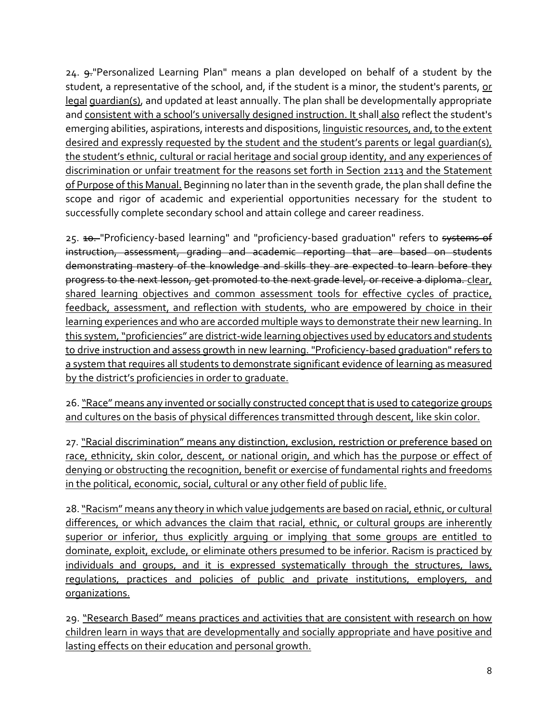24. 9. "Personalized Learning Plan" means a plan developed on behalf of a student by the student, a representative of the school, and, if the student is a minor, the student's parents, or legal guardian(s), and updated at least annually. The plan shall be developmentally appropriate and consistent with a school's universally designed instruction. It shall also reflect the student's emerging abilities, aspirations, interests and dispositions, linguistic resources, and, to the extent desired and expressly requested by the student and the student's parents or legal guardian(s), the student's ethnic, cultural or racial heritage and social group identity, and any experiences of discrimination or unfair treatment for the reasons set forth in Section 2113 and the Statement of Purpose of this Manual. Beginning no later than in the seventh grade, the plan shall define the scope and rigor of academic and experiential opportunities necessary for the student to successfully complete secondary school and attain college and career readiness.

25. 10. "Proficiency-based learning" and "proficiency-based graduation" refers to systems of instruction, assessment, grading and academic reporting that are based on students demonstrating mastery of the knowledge and skills they are expected to learn before they progress to the next lesson, get promoted to the next grade level, or receive a diploma. clear, shared learning objectives and common assessment tools for effective cycles of practice, feedback, assessment, and reflection with students, who are empowered by choice in their learning experiences and who are accorded multiple ways to demonstrate their new learning. In this system, "proficiencies" are district-wide learning objectives used by educators and students to drive instruction and assess growth in new learning. "Proficiency-based graduation" refers to a system that requires all students to demonstrate significant evidence of learning as measured by the district's proficiencies in order to graduate.

26. "Race" means any invented or socially constructed concept that is used to categorize groups and cultures on the basis of physical differences transmitted through descent, like skin color.

27. "Racial discrimination" means any distinction, exclusion, restriction or preference based on race, ethnicity, skin color, descent, or national origin, and which has the purpose or effect of denying or obstructing the recognition, benefit or exercise of fundamental rights and freedoms in the political, economic, social, cultural or any other field of public life.

28. "Racism" means any theory in which value judgements are based on racial, ethnic, or cultural differences, or which advances the claim that racial, ethnic, or cultural groups are inherently superior or inferior, thus explicitly arguing or implying that some groups are entitled to dominate, exploit, exclude, or eliminate others presumed to be inferior. Racism is practiced by individuals and groups, and it is expressed systematically through the structures, laws, regulations, practices and policies of public and private institutions, employers, and organizations.

29. "Research Based" means practices and activities that are consistent with research on how children learn in ways that are developmentally and socially appropriate and have positive and lasting effects on their education and personal growth.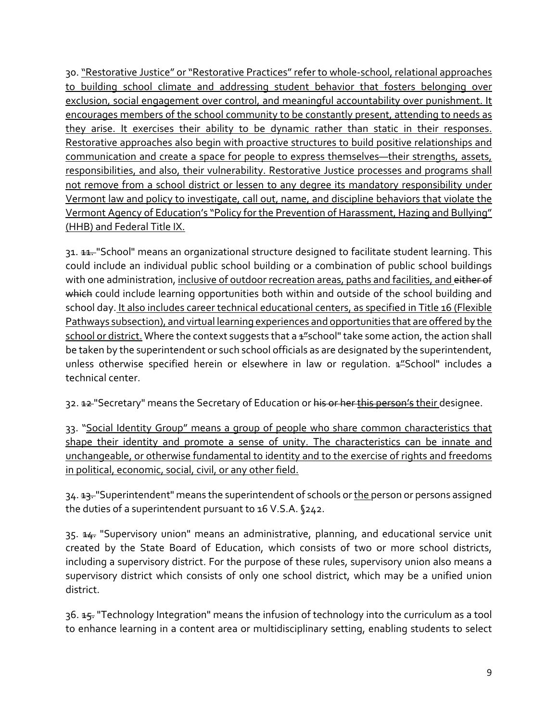30."Restorative Justice" or "Restorative Practices" refer to whole-school, relational approaches to building school climate and addressing student behavior that fosters belonging over exclusion, social engagement over control, and meaningful accountability over punishment. It encourages members of the school community to be constantly present, attending to needs as they arise. It exercises their ability to be dynamic rather than static in their responses. Restorative approaches also begin with proactive structures to build positive relationships and communication and create a space for people to express themselves—their strengths, assets, responsibilities, and also, their vulnerability. Restorative Justice processes and programs shall not remove from a school district or lessen to any degree its mandatory responsibility under Vermont law and policy to investigate, call out, name, and discipline behaviors that violate the Vermont Agency of Education's "Policy for the Prevention of Harassment, Hazing and Bullying" (HHB) and Federal Title IX.

31. 11. "School" means an organizational structure designed to facilitate student learning. This could include an individual public school building or a combination of public school buildings with one administration, inclusive of outdoor recreation areas, paths and facilities, and either of which could include learning opportunities both within and outside of the school building and school day. It also includes career technical educational centers, as specified in Title 16 (Flexible Pathways subsection), and virtual learning experiences and opportunities that are offered by the school or district. Where the context suggests that a  $4\frac{u}{s}$ school" take some action, the action shall be taken by the superintendent or such school officials as are designated by the superintendent, unless otherwise specified herein or elsewhere in law or regulation.  $4\frac{u}{s}$ School" includes a technical center.

32. 12 "Secretary" means the Secretary of Education or his or her this person's their designee.

33. "Social Identity Group" means a group of people who share common characteristics that shape their identity and promote a sense of unity. The characteristics can be innate and unchangeable, or otherwise fundamental to identity and to the exercise of rights and freedoms in political, economic, social, civil, or any other field.

34. <del>13.</del> "Superintendent" means the superintendent of schools or the person or persons assigned the duties of a superintendent pursuant to 16 V.S.A. §242.

35. 44. "Supervisory union" means an administrative, planning, and educational service unit created by the State Board of Education, which consists of two or more school districts, including a supervisory district. For the purpose of these rules, supervisory union also means a supervisory district which consists of only one school district, which may be a unified union district.

36. <del>15.</del> "Technology Integration" means the infusion of technology into the curriculum as a tool to enhance learning in a content area or multidisciplinary setting, enabling students to select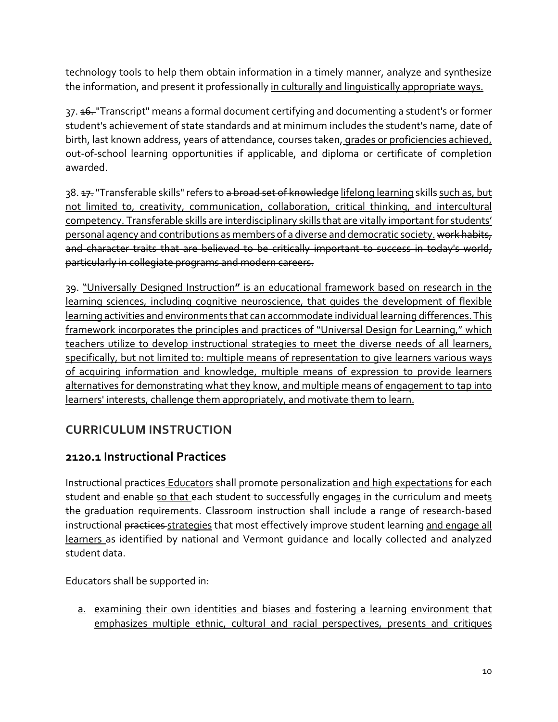technology tools to help them obtain information in a timely manner, analyze and synthesize the information, and present it professionally in culturally and linguistically appropriate ways.

37. <del>16.</del> "Transcript" means a formal document certifying and documenting a student's or former student's achievement of state standards and at minimum includes the student's name, date of birth, last known address, years of attendance, courses taken, grades or proficiencies achieved, out-of-school learning opportunities if applicable, and diploma or certificate of completion awarded.

38. <del>17.</del> "Transferable skills" refers to a broad set of knowledge lifelong learning skills such as, but not limited to, creativity, communication, collaboration, critical thinking, and intercultural competency. Transferable skills are interdisciplinary skills that are vitally important for students' personal agency and contributions as members of a diverse and democratic society. work habits, and character traits that are believed to be critically important to success in today's world, particularly in collegiate programs and modern careers.

39. "Universally Designed Instruction**"** is an educational framework based on research in the learning sciences, including cognitive neuroscience, that guides the development of flexible learning activities and environments that can accommodate individual learning differences.This framework incorporates the principles and practices of "Universal Design for Learning," which teachers utilize to develop instructional strategies to meet the diverse needs of all learners, specifically, but not limited to: multiple means of representation to give learners various ways of acquiring information and knowledge, multiple means of expression to provide learners alternatives for demonstrating what they know, and multiple means of engagement to tap into learners' interests, challenge them appropriately, and motivate them to learn.

# <span id="page-9-0"></span>**CURRICULUM INSTRUCTION**

### <span id="page-9-1"></span>**2120.1 Instructional Practices**

Instructional practices Educators shall promote personalization and high expectations for each student and enable so that each student to successfully engages in the curriculum and meets the graduation requirements. Classroom instruction shall include a range of research-based instructional practices strategies that most effectively improve student learning and engage all learners as identified by national and Vermont guidance and locally collected and analyzed student data.

#### Educators shall be supported in:

a. examining their own identities and biases and fostering a learning environment that emphasizes multiple ethnic, cultural and racial perspectives, presents and critiques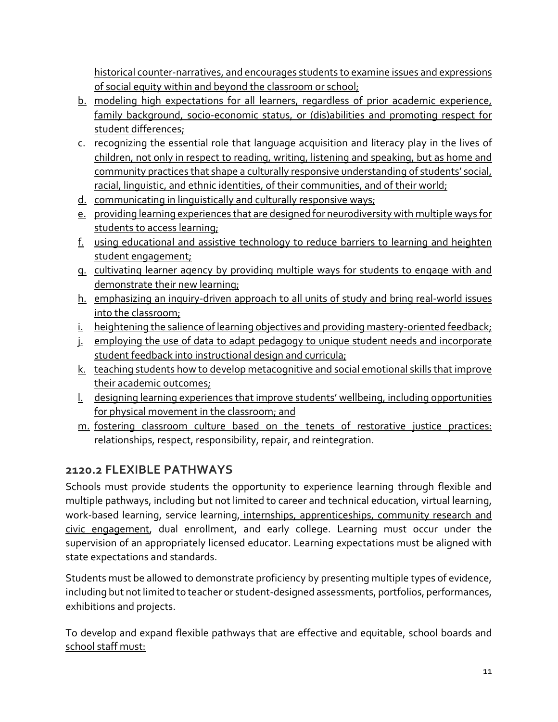historical counter-narratives, and encourages students to examine issues and expressions of social equity within and beyond the classroom or school;

- b. modeling high expectations for all learners, regardless of prior academic experience, family background, socio-economic status, or (dis)abilities and promoting respect for student differences;
- c. recognizing the essential role that language acquisition and literacy play in the lives of children, not only in respect to reading, writing, listening and speaking, but as home and community practices that shape a culturally responsive understanding of students' social, racial, linguistic, and ethnic identities, of their communities, and of their world;
- d. communicating in linguistically and culturally responsive ways;
- e. providing learning experiences that are designed for neurodiversity with multiple ways for students to access learning;
- f. using educational and assistive technology to reduce barriers to learning and heighten student engagement;
- g. cultivating learner agency by providing multiple ways for students to engage with and demonstrate their new learning;
- h. emphasizing an inquiry-driven approach to all units of study and bring real-world issues into the classroom;
- i. heightening the salience of learning objectives and providing mastery-oriented feedback;
- j. employing the use of data to adapt pedagogy to unique student needs and incorporate student feedback into instructional design and curricula;
- k. teaching students how to develop metacognitive and social emotional skills that improve their academic outcomes;
- l. designing learning experiences that improve students' wellbeing, including opportunities for physical movement in the classroom; and
- m. fostering classroom culture based on the tenets of restorative justice practices: relationships, respect, responsibility, repair, and reintegration.

# <span id="page-10-0"></span>**2120.2 FLEXIBLE PATHWAYS**

Schools must provide students the opportunity to experience learning through flexible and multiple pathways, including but not limited to career and technical education, virtual learning, work-based learning, service learning, internships, apprenticeships, community research and civic engagement, dual enrollment, and early college. Learning must occur under the supervision of an appropriately licensed educator. Learning expectations must be aligned with state expectations and standards.

Students must be allowed to demonstrate proficiency by presenting multiple types of evidence, including but not limited to teacher or student-designed assessments, portfolios, performances, exhibitions and projects.

To develop and expand flexible pathways that are effective and equitable, school boards and school staff must: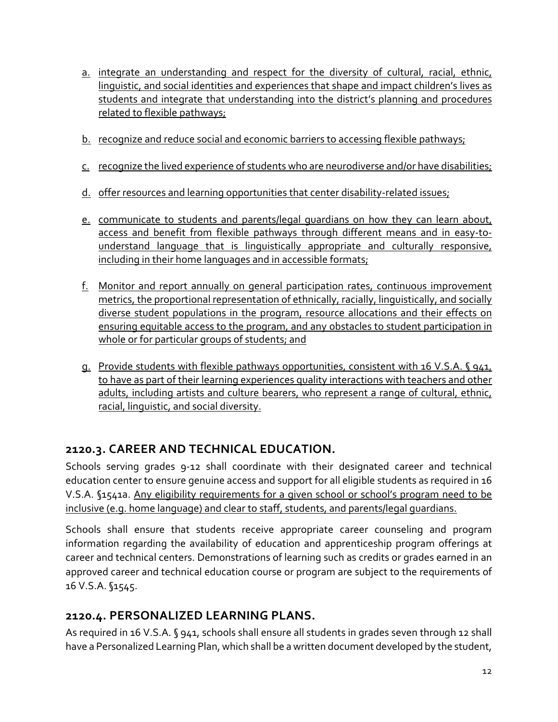- a. integrate an understanding and respect for the diversity of cultural, racial, ethnic, linguistic, and social identities and experiences that shape and impact children's lives as students and integrate that understanding into the district's planning and procedures related to flexible pathways;
- b. recognize and reduce social and economic barriers to accessing flexible pathways;
- c. recognize the lived experience of students who are neurodiverse and/or have disabilities;
- d. offer resources and learning opportunities that center disability-related issues;
- e. communicate to students and parents/legal quardians on how they can learn about, access and benefit from flexible pathways through different means and in easy-tounderstand language that is linguistically appropriate and culturally responsive, including in their home languages and in accessible formats;
- f. Monitor and report annually on general participation rates, continuous improvement metrics, the proportional representation of ethnically, racially, linguistically, and socially diverse student populations in the program, resource allocations and their effects on ensuring equitable access to the program, and any obstacles to student participation in whole or for particular groups of students; and
- g. Provide students with flexible pathways opportunities, consistent with 16 V.S.A. § 941, to have as part of their learning experiences quality interactions with teachers and other adults, including artists and culture bearers, who represent a range of cultural, ethnic, racial, linguistic, and social diversity.

### <span id="page-11-0"></span>**2120.3. CAREER AND TECHNICAL EDUCATION.**

Schools serving grades 9-12 shall coordinate with their designated career and technical education center to ensure genuine access and support for all eligible students as required in 16 V.S.A. §1541a. Any eligibility requirements for a given school or school's program need to be inclusive (e.g. home language) and clear to staff, students, and parents/legal guardians.

Schools shall ensure that students receive appropriate career counseling and program information regarding the availability of education and apprenticeship program offerings at career and technical centers. Demonstrations of learning such as credits or grades earned in an approved career and technical education course or program are subject to the requirements of 16 V.S.A. §1545.

# <span id="page-11-1"></span>**2120.4. PERSONALIZED LEARNING PLANS.**

As required in 16 V.S.A. § 941, schools shall ensure all students in grades seven through 12 shall have a Personalized Learning Plan, which shall be a written document developed by the student,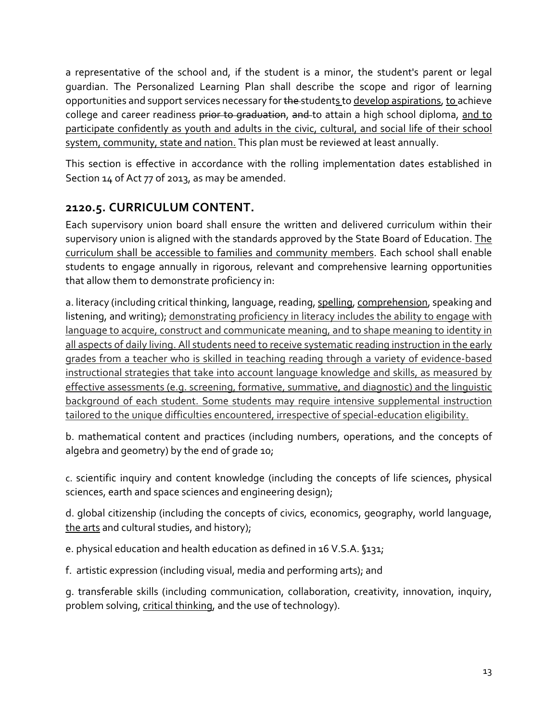a representative of the school and, if the student is a minor, the student's parent or legal guardian. The Personalized Learning Plan shall describe the scope and rigor of learning opportunities and support services necessary for the students to develop aspirations, to achieve college and career readiness prior to graduation, and to attain a high school diploma, and to participate confidently as youth and adults in the civic, cultural, and social life of their school system, community, state and nation. This plan must be reviewed at least annually.

This section is effective in accordance with the rolling implementation dates established in Section 14 of Act 77 of 2013, as may be amended.

# <span id="page-12-0"></span>**2120.5. CURRICULUM CONTENT.**

Each supervisory union board shall ensure the written and delivered curriculum within their supervisory union is aligned with the standards approved by the State Board of Education. The curriculum shall be accessible to families and community members. Each school shall enable students to engage annually in rigorous, relevant and comprehensive learning opportunities that allow them to demonstrate proficiency in:

a. literacy (including critical thinking, language, reading, spelling, comprehension, speaking and listening, and writing); demonstrating proficiency in literacy includes the ability to engage with language to acquire, construct and communicate meaning, and to shape meaning to identity in all aspects of daily living. All students need to receive systematic reading instruction in the early grades from a teacher who is skilled in teaching reading through a variety of evidence-based instructional strategies that take into account language knowledge and skills, as measured by effective assessments (e.g. screening, formative, summative, and diagnostic) and the linguistic background of each student. Some students may require intensive supplemental instruction tailored to the unique difficulties encountered, irrespective of special-education eligibility.

b. mathematical content and practices (including numbers, operations, and the concepts of algebra and geometry) by the end of grade 10;

c. scientific inquiry and content knowledge (including the concepts of life sciences, physical sciences, earth and space sciences and engineering design);

d. global citizenship (including the concepts of civics, economics, geography, world language, the arts and cultural studies, and history);

e. physical education and health education as defined in 16 V.S.A. §131;

f. artistic expression (including visual, media and performing arts); and

g. transferable skills (including communication, collaboration, creativity, innovation, inquiry, problem solving, critical thinking, and the use of technology).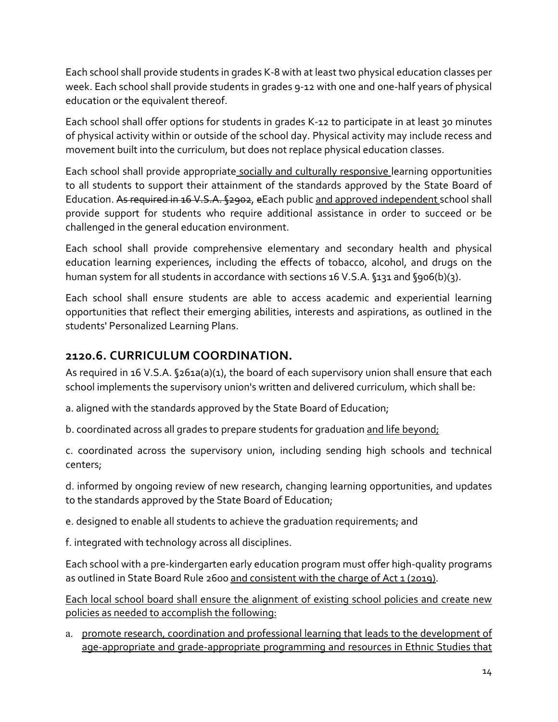Each school shall provide students in grades K-8 with at least two physical education classes per week. Each school shall provide students in grades 9-12 with one and one-half years of physical education or the equivalent thereof.

Each school shall offer options for students in grades K-12 to participate in at least 30 minutes of physical activity within or outside of the school day. Physical activity may include recess and movement built into the curriculum, but does not replace physical education classes.

Each school shall provide appropriate socially and culturally responsive learning opportunities to all students to support their attainment of the standards approved by the State Board of Education. As required in 16 V.S.A. §2902, eEach public and approved independent school shall provide support for students who require additional assistance in order to succeed or be challenged in the general education environment.

Each school shall provide comprehensive elementary and secondary health and physical education learning experiences, including the effects of tobacco, alcohol, and drugs on the human system for all students in accordance with sections 16 V.S.A. §131 and §906(b)(3).

Each school shall ensure students are able to access academic and experiential learning opportunities that reflect their emerging abilities, interests and aspirations, as outlined in the students' Personalized Learning Plans.

### <span id="page-13-0"></span>**2120.6. CURRICULUM COORDINATION.**

As required in 16 V.S.A. §261a(a)(1), the board of each supervisory union shall ensure that each school implements the supervisory union's written and delivered curriculum, which shall be:

a. aligned with the standards approved by the State Board of Education;

b. coordinated across all grades to prepare students for graduation and life beyond;

c. coordinated across the supervisory union, including sending high schools and technical centers;

d. informed by ongoing review of new research, changing learning opportunities, and updates to the standards approved by the State Board of Education;

e. designed to enable all students to achieve the graduation requirements; and

f. integrated with technology across all disciplines.

Each school with a pre-kindergarten early education program must offer high-quality programs as outlined in State Board Rule 2600 and consistent with the charge of Act 1 (2019).

Each local school board shall ensure the alignment of existing school policies and create new policies as needed to accomplish the following:

a. promote research, coordination and professional learning that leads to the development of age-appropriate and grade-appropriate programming and resources in Ethnic Studies that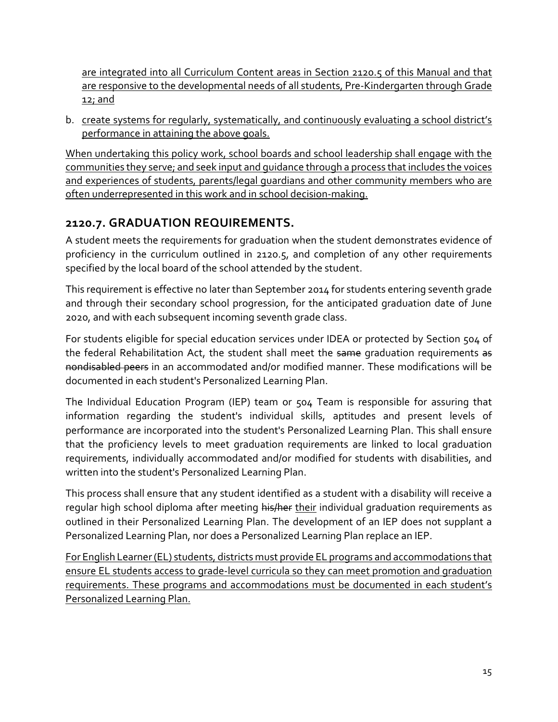are integrated into all Curriculum Content areas in Section 2120.5 of this Manual and that are responsive to the developmental needs of all students, Pre-Kindergarten through Grade <u>12; and</u>

b. create systems for regularly, systematically, and continuously evaluating a school district's performance in attaining the above goals.

When undertaking this policy work, school boards and school leadership shall engage with the communities they serve; and seek input and guidance through a process that includes the voices and experiences of students, parents/legal guardians and other community members who are often underrepresented in this work and in school decision-making.

## <span id="page-14-0"></span>**2120.7. GRADUATION REQUIREMENTS.**

A student meets the requirements for graduation when the student demonstrates evidence of proficiency in the curriculum outlined in 2120.5, and completion of any other requirements specified by the local board of the school attended by the student.

This requirement is effective no later than September 2014 for students entering seventh grade and through their secondary school progression, for the anticipated graduation date of June 2020, and with each subsequent incoming seventh grade class.

For students eligible for special education services under IDEA or protected by Section 504 of the federal Rehabilitation Act, the student shall meet the same graduation requirements as nondisabled peers in an accommodated and/or modified manner. These modifications will be documented in each student's Personalized Learning Plan.

The Individual Education Program (IEP) team or 504 Team is responsible for assuring that information regarding the student's individual skills, aptitudes and present levels of performance are incorporated into the student's Personalized Learning Plan. This shall ensure that the proficiency levels to meet graduation requirements are linked to local graduation requirements, individually accommodated and/or modified for students with disabilities, and written into the student's Personalized Learning Plan.

This process shall ensure that any student identified as a student with a disability will receive a regular high school diploma after meeting his/her their individual graduation requirements as outlined in their Personalized Learning Plan. The development of an IEP does not supplant a Personalized Learning Plan, nor does a Personalized Learning Plan replace an IEP.

For English Learner (EL) students, districts must provide EL programs and accommodations that ensure EL students access to grade-level curricula so they can meet promotion and graduation requirements. These programs and accommodations must be documented in each student's Personalized Learning Plan.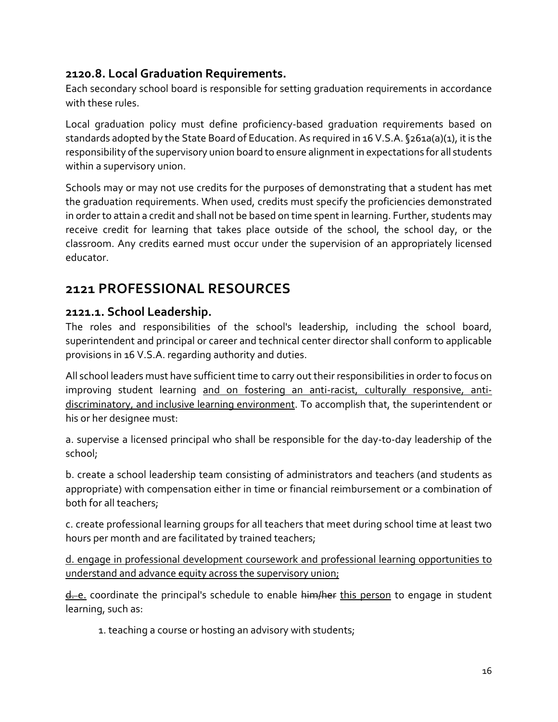### <span id="page-15-0"></span>**2120.8. Local Graduation Requirements.**

Each secondary school board is responsible for setting graduation requirements in accordance with these rules.

Local graduation policy must define proficiency-based graduation requirements based on standards adopted by the State Board of Education. As required in 16 V.S.A. §261a(a)(1), it is the responsibility of the supervisory union board to ensure alignment in expectations for all students within a supervisory union.

Schools may or may not use credits for the purposes of demonstrating that a student has met the graduation requirements. When used, credits must specify the proficiencies demonstrated in order to attain a credit and shall not be based on time spent in learning. Further, students may receive credit for learning that takes place outside of the school, the school day, or the classroom. Any credits earned must occur under the supervision of an appropriately licensed educator.

# <span id="page-15-1"></span>**2121 PROFESSIONAL RESOURCES**

#### <span id="page-15-2"></span>**2121.1. School Leadership.**

The roles and responsibilities of the school's leadership, including the school board, superintendent and principal or career and technical center director shall conform to applicable provisions in 16 V.S.A. regarding authority and duties.

All school leaders must have sufficient time to carry out their responsibilities in order to focus on improving student learning and on fostering an anti-racist, culturally responsive, antidiscriminatory, and inclusive learning environment. To accomplish that, the superintendent or his or her designee must:

a. supervise a licensed principal who shall be responsible for the day-to-day leadership of the school;

b. create a school leadership team consisting of administrators and teachers (and students as appropriate) with compensation either in time or financial reimbursement or a combination of both for all teachers;

c. create professional learning groups for all teachers that meet during school time at least two hours per month and are facilitated by trained teachers;

d. engage in professional development coursework and professional learning opportunities to understand and advance equity across the supervisory union;

d. e. coordinate the principal's schedule to enable him/her this person to engage in student learning, such as:

1. teaching a course or hosting an advisory with students;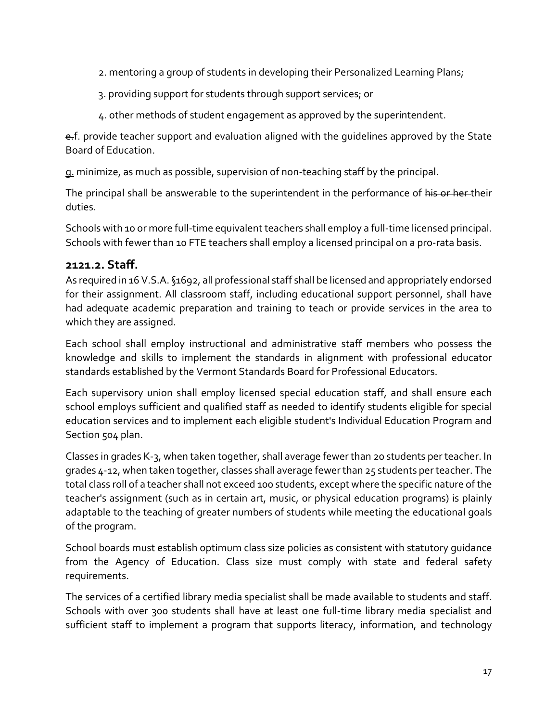- 2. mentoring a group of students in developing their Personalized Learning Plans;
- 3. providing support for students through support services; or
- 4. other methods of student engagement as approved by the superintendent.

e.f. provide teacher support and evaluation aligned with the quidelines approved by the State Board of Education.

g. minimize, as much as possible, supervision of non-teaching staff by the principal.

The principal shall be answerable to the superintendent in the performance of his or her their duties.

Schools with 10 or more full-time equivalent teachers shall employ a full-time licensed principal. Schools with fewer than 10 FTE teachers shall employ a licensed principal on a pro-rata basis.

#### <span id="page-16-0"></span>**2121.2. Staff.**

As required in 16 V.S.A. §1692, all professional staff shall be licensed and appropriately endorsed for their assignment. All classroom staff, including educational support personnel, shall have had adequate academic preparation and training to teach or provide services in the area to which they are assigned.

Each school shall employ instructional and administrative staff members who possess the knowledge and skills to implement the standards in alignment with professional educator standards established by the Vermont Standards Board for Professional Educators.

Each supervisory union shall employ licensed special education staff, and shall ensure each school employs sufficient and qualified staff as needed to identify students eligible for special education services and to implement each eligible student's Individual Education Program and Section 504 plan.

Classes in grades K-3, when taken together, shall average fewer than 20 students per teacher. In grades 4-12, when taken together, classes shall average fewer than 25 students per teacher. The total class roll of a teacher shall not exceed 100 students, except where the specific nature of the teacher's assignment (such as in certain art, music, or physical education programs) is plainly adaptable to the teaching of greater numbers of students while meeting the educational goals of the program.

School boards must establish optimum class size policies as consistent with statutory guidance from the Agency of Education. Class size must comply with state and federal safety requirements.

The services of a certified library media specialist shall be made available to students and staff. Schools with over 300 students shall have at least one full-time library media specialist and sufficient staff to implement a program that supports literacy, information, and technology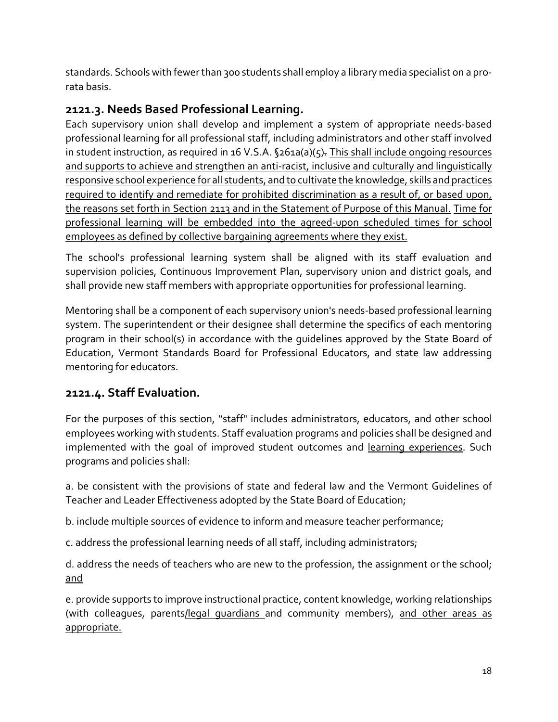standards. Schools with fewer than 300 students shall employ a library media specialist on a prorata basis.

# <span id="page-17-0"></span>**2121.3. Needs Based Professional Learning.**

Each supervisory union shall develop and implement a system of appropriate needs-based professional learning for all professional staff, including administrators and other staff involved in student instruction, as required in 16 V.S.A. §261a(a)(5). This shall include ongoing resources and supports to achieve and strengthen an anti-racist, inclusive and culturally and linguistically responsive school experience for all students, and to cultivate the knowledge, skills and practices required to identify and remediate for prohibited discrimination as a result of, or based upon, the reasons set forth in Section 2113 and in the Statement of Purpose of this Manual. Time for professional learning will be embedded into the agreed-upon scheduled times for school employees as defined by collective bargaining agreements where they exist.

The school's professional learning system shall be aligned with its staff evaluation and supervision policies, Continuous Improvement Plan, supervisory union and district goals, and shall provide new staff members with appropriate opportunities for professional learning.

Mentoring shall be a component of each supervisory union's needs-based professional learning system. The superintendent or their designee shall determine the specifics of each mentoring program in their school(s) in accordance with the guidelines approved by the State Board of Education, Vermont Standards Board for Professional Educators, and state law addressing mentoring for educators.

# <span id="page-17-1"></span>**2121.4. Staff Evaluation.**

For the purposes of this section, "staff" includes administrators, educators, and other school employees working with students. Staff evaluation programs and policies shall be designed and implemented with the goal of improved student outcomes and learning experiences. Such programs and policies shall:

a. be consistent with the provisions of state and federal law and the Vermont Guidelines of Teacher and Leader Effectiveness adopted by the State Board of Education;

b. include multiple sources of evidence to inform and measure teacher performance;

c. address the professional learning needs of all staff, including administrators;

d. address the needs of teachers who are new to the profession, the assignment or the school; and

e. provide supports to improve instructional practice, content knowledge, working relationships (with colleagues, parents/legal guardians and community members), and other areas as appropriate.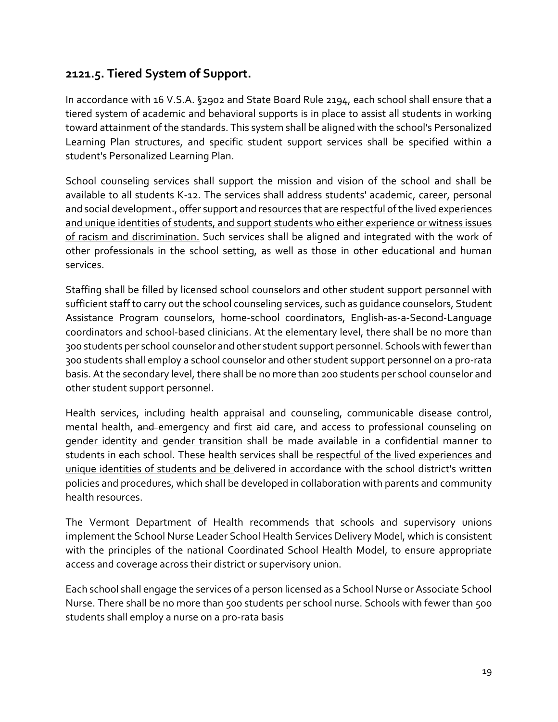### <span id="page-18-0"></span>**2121.5. Tiered System of Support.**

In accordance with 16 V.S.A. §2902 and State Board Rule 2194, each school shall ensure that a tiered system of academic and behavioral supports is in place to assist all students in working toward attainment of the standards. This system shall be aligned with the school's Personalized Learning Plan structures, and specific student support services shall be specified within a student's Personalized Learning Plan.

School counseling services shall support the mission and vision of the school and shall be available to all students K-12. The services shall address students' academic, career, personal and social development., offer support and resources that are respectful of the lived experiences and unique identities of students, and support students who either experience or witness issues of racism and discrimination. Such services shall be aligned and integrated with the work of other professionals in the school setting, as well as those in other educational and human services.

Staffing shall be filled by licensed school counselors and other student support personnel with sufficient staff to carry out the school counseling services, such as guidance counselors, Student Assistance Program counselors, home-school coordinators, English-as-a-Second-Language coordinators and school-based clinicians. At the elementary level, there shall be no more than 300 students per school counselor and other student support personnel. Schools with fewer than 300 students shall employ a school counselor and other student support personnel on a pro-rata basis. At the secondary level, there shall be no more than 200 students per school counselor and other student support personnel.

Health services, including health appraisal and counseling, communicable disease control, mental health, and emergency and first aid care, and access to professional counseling on gender identity and gender transition shall be made available in a confidential manner to students in each school. These health services shall be respectful of the lived experiences and unique identities of students and be delivered in accordance with the school district's written policies and procedures, which shall be developed in collaboration with parents and community health resources.

The Vermont Department of Health recommends that schools and supervisory unions implement the School Nurse Leader School Health Services Delivery Model, which is consistent with the principles of the national Coordinated School Health Model, to ensure appropriate access and coverage across their district or supervisory union.

Each school shall engage the services of a person licensed as a School Nurse or Associate School Nurse. There shall be no more than 500 students per school nurse. Schools with fewer than 500 students shall employ a nurse on a pro-rata basis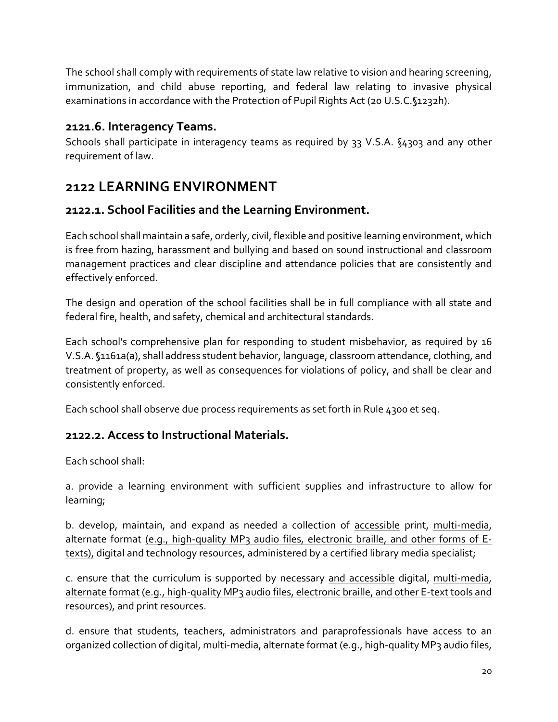The school shall comply with requirements of state law relative to vision and hearing screening, immunization, and child abuse reporting, and federal law relating to invasive physical examinations in accordance with the Protection of Pupil Rights Act (20 U.S.C.§1232h).

### <span id="page-19-0"></span>**2121.6. Interagency Teams.**

Schools shall participate in interagency teams as required by 33 V.S.A. §4303 and any other requirement of law.

# <span id="page-19-1"></span>**2122 LEARNING ENVIRONMENT**

### <span id="page-19-2"></span>**2122.1. School Facilities and the Learning Environment.**

Each school shall maintain a safe, orderly, civil, flexible and positive learning environment, which is free from hazing, harassment and bullying and based on sound instructional and classroom management practices and clear discipline and attendance policies that are consistently and effectively enforced.

The design and operation of the school facilities shall be in full compliance with all state and federal fire, health, and safety, chemical and architectural standards.

Each school's comprehensive plan for responding to student misbehavior, as required by 16 V.S.A. §1161a(a), shall address student behavior, language, classroom attendance, clothing, and treatment of property, as well as consequences for violations of policy, and shall be clear and consistently enforced.

Each school shall observe due process requirements as set forth in Rule 4300 et seq.

#### <span id="page-19-3"></span>**2122.2. Access to Instructional Materials.**

Each school shall:

a. provide a learning environment with sufficient supplies and infrastructure to allow for learning;

b. develop, maintain, and expand as needed a collection of accessible print, multi-media, alternate format (e.g., high-quality MP3 audio files, electronic braille, and other forms of Etexts), digital and technology resources, administered by a certified library media specialist;

c. ensure that the curriculum is supported by necessary and accessible digital, multi-media, alternate format (e.g., high-quality MP3 audio files, electronic braille, and other E-text tools and resources), and print resources.

d. ensure that students, teachers, administrators and paraprofessionals have access to an organized collection of digital, multi-media, alternate format (e.g., high-quality MP3 audio files,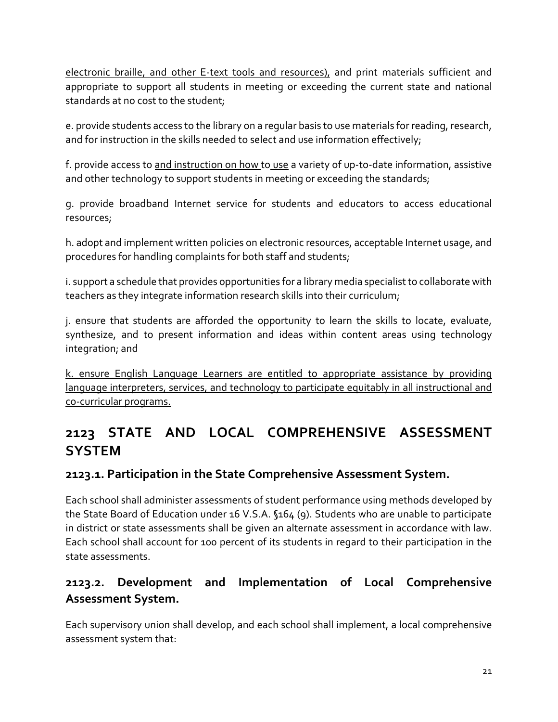electronic braille, and other E-text tools and resources), and print materials sufficient and appropriate to support all students in meeting or exceeding the current state and national standards at no cost to the student;

e. provide students access to the library on a regular basis to use materials for reading, research, and for instruction in the skills needed to select and use information effectively;

f. provide access to and instruction on how to use a variety of up-to-date information, assistive and other technology to support students in meeting or exceeding the standards;

g. provide broadband Internet service for students and educators to access educational resources;

h. adopt and implement written policies on electronic resources, acceptable Internet usage, and procedures for handling complaints for both staff and students;

i. support a schedule that provides opportunities for a library media specialist to collaborate with teachers as they integrate information research skills into their curriculum;

j. ensure that students are afforded the opportunity to learn the skills to locate, evaluate, synthesize, and to present information and ideas within content areas using technology integration; and

k. ensure English Language Learners are entitled to appropriate assistance by providing language interpreters, services, and technology to participate equitably in all instructional and co-curricular programs.

# <span id="page-20-0"></span>**2123 STATE AND LOCAL COMPREHENSIVE ASSESSMENT SYSTEM**

#### <span id="page-20-1"></span>**2123.1. Participation in the State Comprehensive Assessment System.**

Each school shall administer assessments of student performance using methods developed by the State Board of Education under 16 V.S.A. §164 (9). Students who are unable to participate in district or state assessments shall be given an alternate assessment in accordance with law. Each school shall account for 100 percent of its students in regard to their participation in the state assessments.

# <span id="page-20-2"></span>**2123.2. Development and Implementation of Local Comprehensive Assessment System.**

Each supervisory union shall develop, and each school shall implement, a local comprehensive assessment system that: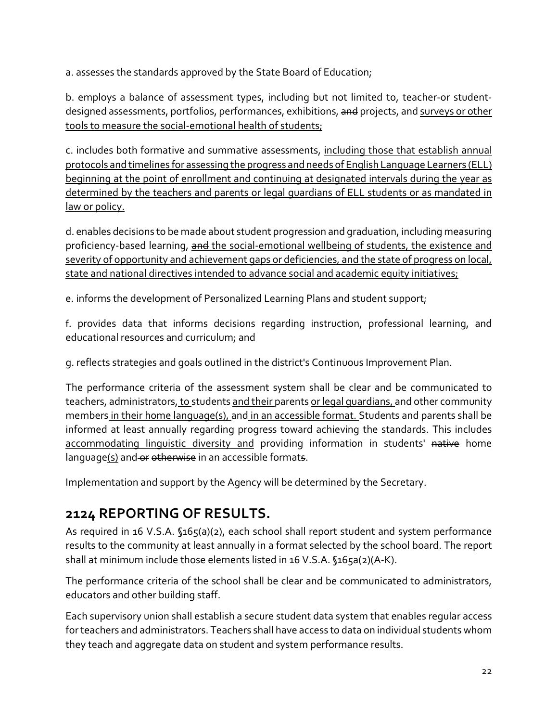a. assesses the standards approved by the State Board of Education;

b. employs a balance of assessment types, including but not limited to, teacher-or studentdesigned assessments, portfolios, performances, exhibitions, and projects, and surveys or other tools to measure the social-emotional health of students;

c. includes both formative and summative assessments, including those that establish annual protocols and timelines for assessing the progress and needs of English Language Learners (ELL) beginning at the point of enrollment and continuing at designated intervals during the year as determined by the teachers and parents or legal guardians of ELL students or as mandated in law or policy.

d. enables decisions to be made about student progression and graduation, including measuring proficiency-based learning, and the social-emotional wellbeing of students, the existence and severity of opportunity and achievement gaps or deficiencies, and the state of progress on local, state and national directives intended to advance social and academic equity initiatives;

e. informs the development of Personalized Learning Plans and student support;

f. provides data that informs decisions regarding instruction, professional learning, and educational resources and curriculum; and

g. reflects strategies and goals outlined in the district's Continuous Improvement Plan.

The performance criteria of the assessment system shall be clear and be communicated to teachers, administrators, to students and their parents or legal quardians, and other community members in their home language(s), and in an accessible format. Students and parents shall be informed at least annually regarding progress toward achieving the standards. This includes accommodating linguistic diversity and providing information in students' native home language(s) and or otherwise in an accessible formats.

Implementation and support by the Agency will be determined by the Secretary.

# <span id="page-21-0"></span>**2124 REPORTING OF RESULTS.**

As required in 16 V.S.A. §165(a)(2), each school shall report student and system performance results to the community at least annually in a format selected by the school board. The report shall at minimum include those elements listed in 16 V.S.A. §165a(2)(A-K).

The performance criteria of the school shall be clear and be communicated to administrators, educators and other building staff.

Each supervisory union shall establish a secure student data system that enables regular access for teachers and administrators. Teachers shall have access to data on individual students whom they teach and aggregate data on student and system performance results.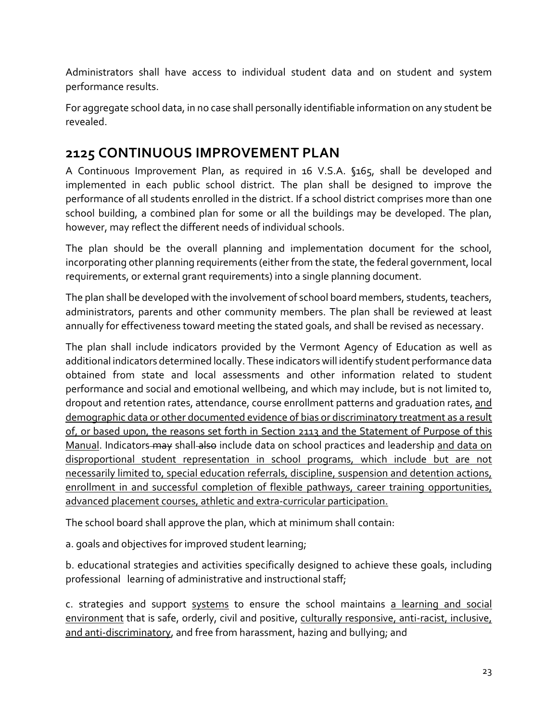Administrators shall have access to individual student data and on student and system performance results.

For aggregate school data, in no case shall personally identifiable information on any student be revealed.

# <span id="page-22-0"></span>**2125 CONTINUOUS IMPROVEMENT PLAN**

A Continuous Improvement Plan, as required in 16 V.S.A. §165, shall be developed and implemented in each public school district. The plan shall be designed to improve the performance of all students enrolled in the district. If a school district comprises more than one school building, a combined plan for some or all the buildings may be developed. The plan, however, may reflect the different needs of individual schools.

The plan should be the overall planning and implementation document for the school, incorporating other planning requirements (either from the state, the federal government, local requirements, or external grant requirements) into a single planning document.

The plan shall be developed with the involvement of school board members, students, teachers, administrators, parents and other community members. The plan shall be reviewed at least annually for effectiveness toward meeting the stated goals, and shall be revised as necessary.

The plan shall include indicators provided by the Vermont Agency of Education as well as additional indicators determined locally. These indicators will identify student performance data obtained from state and local assessments and other information related to student performance and social and emotional wellbeing, and which may include, but is not limited to, dropout and retention rates, attendance, course enrollment patterns and graduation rates, and demographic data or other documented evidence of bias or discriminatory treatment as a result of, or based upon, the reasons set forth in Section 2113 and the Statement of Purpose of this Manual. Indicators may shall also include data on school practices and leadership and data on disproportional student representation in school programs, which include but are not necessarily limited to, special education referrals, discipline, suspension and detention actions, enrollment in and successful completion of flexible pathways, career training opportunities, advanced placement courses, athletic and extra-curricular participation.

The school board shall approve the plan, which at minimum shall contain:

a. goals and objectives for improved student learning;

b. educational strategies and activities specifically designed to achieve these goals, including professional learning of administrative and instructional staff;

c. strategies and support systems to ensure the school maintains a learning and social environment that is safe, orderly, civil and positive, culturally responsive, anti-racist, inclusive, and anti-discriminatory, and free from harassment, hazing and bullying; and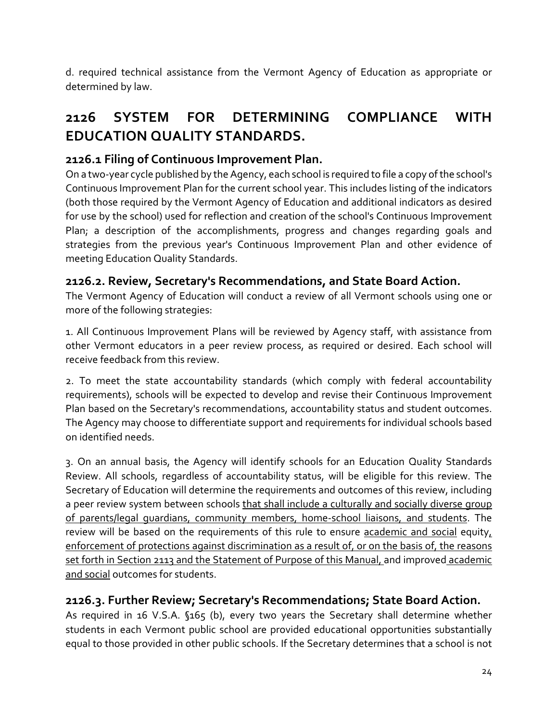d. required technical assistance from the Vermont Agency of Education as appropriate or determined by law.

# <span id="page-23-0"></span>**2126 SYSTEM FOR DETERMINING COMPLIANCE WITH EDUCATION QUALITY STANDARDS.**

## <span id="page-23-1"></span>**2126.1 Filing of Continuous Improvement Plan.**

On a two-year cycle published by the Agency, each school is required to file a copy of the school's Continuous Improvement Plan for the current school year. This includes listing of the indicators (both those required by the Vermont Agency of Education and additional indicators as desired for use by the school) used for reflection and creation of the school's Continuous Improvement Plan; a description of the accomplishments, progress and changes regarding goals and strategies from the previous year's Continuous Improvement Plan and other evidence of meeting Education Quality Standards.

## <span id="page-23-2"></span>**2126.2. Review, Secretary's Recommendations, and State Board Action.**

The Vermont Agency of Education will conduct a review of all Vermont schools using one or more of the following strategies:

1. All Continuous Improvement Plans will be reviewed by Agency staff, with assistance from other Vermont educators in a peer review process, as required or desired. Each school will receive feedback from this review.

2. To meet the state accountability standards (which comply with federal accountability requirements), schools will be expected to develop and revise their Continuous Improvement Plan based on the Secretary's recommendations, accountability status and student outcomes. The Agency may choose to differentiate support and requirements for individual schools based on identified needs.

3. On an annual basis, the Agency will identify schools for an Education Quality Standards Review. All schools, regardless of accountability status, will be eligible for this review. The Secretary of Education will determine the requirements and outcomes of this review, including a peer review system between schools that shall include a culturally and socially diverse group of parents/legal guardians, community members, home-school liaisons, and students. The review will be based on the requirements of this rule to ensure academic and social equity, enforcement of protections against discrimination as a result of, or on the basis of, the reasons set forth in Section 2113 and the Statement of Purpose of this Manual, and improved academic and social outcomes for students.

### <span id="page-23-3"></span>**2126.3. Further Review; Secretary's Recommendations; State Board Action.**

As required in 16 V.S.A. §165 (b), every two years the Secretary shall determine whether students in each Vermont public school are provided educational opportunities substantially equal to those provided in other public schools. If the Secretary determines that a school is not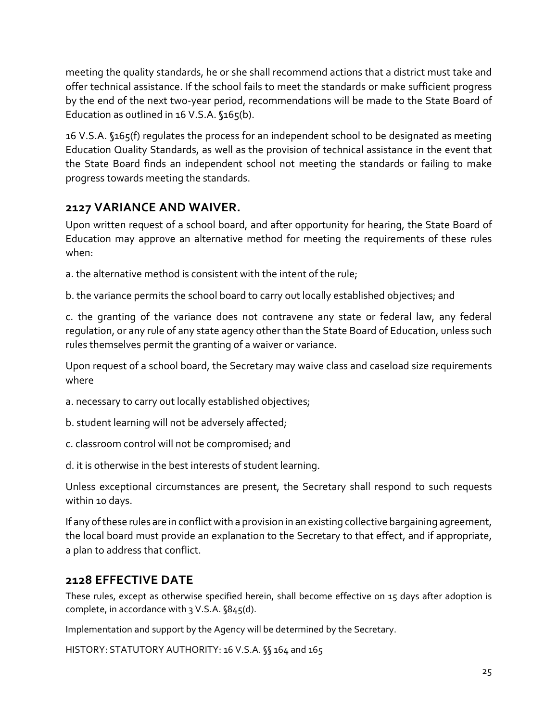meeting the quality standards, he or she shall recommend actions that a district must take and offer technical assistance. If the school fails to meet the standards or make sufficient progress by the end of the next two-year period, recommendations will be made to the State Board of Education as outlined in 16 V.S.A. §165(b).

16 V.S.A. §165(f) regulates the process for an independent school to be designated as meeting Education Quality Standards, as well as the provision of technical assistance in the event that the State Board finds an independent school not meeting the standards or failing to make progress towards meeting the standards.

## <span id="page-24-0"></span>**2127 VARIANCE AND WAIVER.**

Upon written request of a school board, and after opportunity for hearing, the State Board of Education may approve an alternative method for meeting the requirements of these rules when:

a. the alternative method is consistent with the intent of the rule;

b. the variance permits the school board to carry out locally established objectives; and

c. the granting of the variance does not contravene any state or federal law, any federal regulation, or any rule of any state agency other than the State Board of Education, unless such rules themselves permit the granting of a waiver or variance.

Upon request of a school board, the Secretary may waive class and caseload size requirements where

- a. necessary to carry out locally established objectives;
- b. student learning will not be adversely affected;
- c. classroom control will not be compromised; and
- d. it is otherwise in the best interests of student learning.

Unless exceptional circumstances are present, the Secretary shall respond to such requests within 10 days.

If any of these rules are in conflict with a provision in an existing collective bargaining agreement, the local board must provide an explanation to the Secretary to that effect, and if appropriate, a plan to address that conflict.

#### <span id="page-24-1"></span>**2128 EFFECTIVE DATE**

These rules, except as otherwise specified herein, shall become effective on 15 days after adoption is complete, in accordance with 3 V.S.A. §845(d).

Implementation and support by the Agency will be determined by the Secretary.

HISTORY: STATUTORY AUTHORITY: 16 V.S.A. §§ 164 and 165